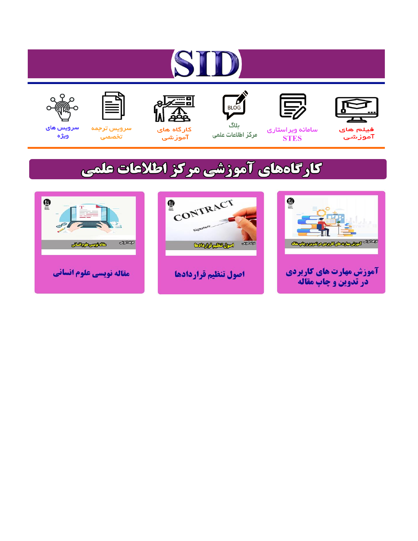# ST











مرکز اطلاعات علمی

 $\frac{1}{\sqrt{\frac{1}{100}}}$ ىلاگ



آموزشي

空

سرويس ترجمه تخصصى



سرویس های ويژه

# كارگاههای آموزشی مركز اطلاعات علمی





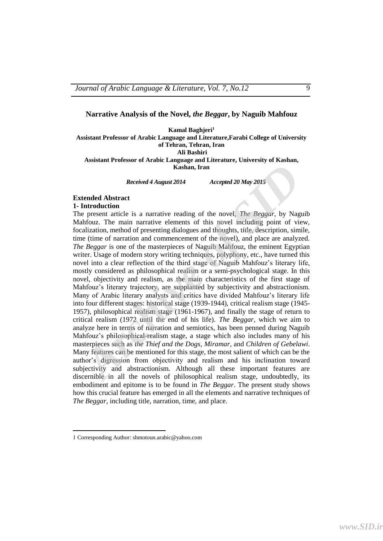#### **Narrative Analysis of the Novel,** *the Beggar***, by Naguib Mahfouz**

**Kamal Baghjeri<sup>1</sup>**

**Assistant Professor of Arabic Language and Literature,Farabi College of University of Tehran, Tehran, Iran Ali Bashiri**

**Assistant Professor of Arabic Language and Literature, University of Kashan, Kashan, Iran**

*Received 4 August 2014 Accepted 20 May 2015*

#### **Extended Abstract 1- Introduction**

The present article is a narrative reading of the novel, *The Beggar*, by Naguib Mahfouz. The main narrative elements of this novel including point of view, focalization, method of presenting dialogues and thoughts, title, description, simile, time (time of narration and commencement of the novel), and place are analyzed. *The Beggar* is one of the masterpieces of Naguib Mahfouz, the eminent Egyptian writer. Usage of modern story writing techniques, polyphony, etc., have turned this novel into a clear reflection of the third stage of Naguib Mahfouz's literary life, mostly considered as philosophical realism or a semi-psychological stage. In this novel, objectivity and realism, as the main characteristics of the first stage of Mahfouz's literary trajectory, are supplanted by subjectivity and abstractionism. Many of Arabic literary analysts and critics have divided Mahfouz's literary life into four different stages: historical stage (1939-1944), critical realism stage (1945- 1957), philosophical realism stage (1961-1967), and finally the stage of return to critical realism (1972 until the end of his life). *The Beggar*, which we aim to analyze here in terms of narration and semiotics, has been penned during Naguib Mahfouz's philosophical-realism stage, a stage which also includes many of his masterpieces such as *the Thief and the Dogs*, *Miramar*, and *Children of Gebelawi*. Many features can be mentioned for this stage, the most salient of which can be the author's digression from objectivity and realism and his inclination toward subjectivity and abstractionism. Although all these important features are discernible in all the novels of philosophical realism stage, undoubtedly, its embodiment and epitome is to be found in *The Beggar*. The present study shows how this crucial feature has emerged in all the elements and narrative techniques of *The Beggar*, including title, narration, time, and place. **Example 16 Alternal Archive Alternal Archive Comparison and the series of the method contracted and the method and through and through and through the present article is a narrative elements of this nevel including point** 

 $\overline{\phantom{a}}$ 

<sup>1</sup> Corresponding Author: shmotoun.arabic@yahoo.com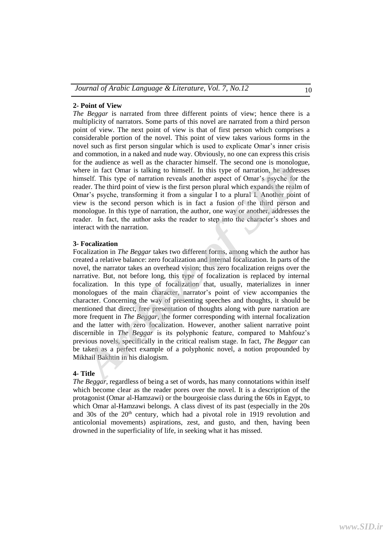#### **2- Point of View**

*The Beggar* is narrated from three different points of view; hence there is a multiplicity of narrators. Some parts of this novel are narrated from a third person point of view. The next point of view is that of first person which comprises a considerable portion of the novel. This point of view takes various forms in the novel such as first person singular which is used to explicate Omar's inner crisis and commotion, in a naked and nude way. Obviously, no one can express this crisis for the audience as well as the character himself. The second one is monologue, where in fact Omar is talking to himself. In this type of narration, he addresses himself. This type of narration reveals another aspect of Omar's psyche for the reader. The third point of view is the first person plural which expands the realm of Omar's psyche, transforming it from a singular I to a plural I. Another point of view is the second person which is in fact a fusion of the third person and monologue. In this type of narration, the author, one way or another, addresses the reader. In fact, the author asks the reader to step into the character's shoes and interact with the narration.

### **3- Focalization**

Focalization in *The Beggar* takes two different forms, among which the author has created a relative balance: zero focalization and internal focalization. In parts of the novel, the narrator takes an overhead vision; thus zero focalization reigns over the narrative. But, not before long, this type of focalization is replaced by internal focalization. In this type of focalization that, usually, materializes in inner monologues of the main character, narrator's point of view accompanies the character. Concerning the way of presenting speeches and thoughts, it should be mentioned that direct, free presentation of thoughts along with pure narration are more frequent in *The Beggar*, the former corresponding with internal focalization and the latter with zero focalization. However, another salient narrative point discernible in *The Beggar* is its polyphonic feature, compared to Mahfouz's previous novels, specifically in the critical realism stage. In fact, *The Beggar* can be taken as a perfect example of a polyphonic novel, a notion propounded by Mikhail Bakhtin in his dialogism. are a water as well similater interact and the calculater and the enterpret in fact Omar is talking to himself. In this type of narration, he addresses mself. This type of narration reveals another aspect of Omar's psyche

#### **4- Title**

*The Beggar,* regardless of being a set of words, has many connotations within itself which become clear as the reader pores over the novel. It is a description of the protagonist (Omar al-Hamzawi) or the bourgeoisie class during the 60s in Egypt, to which Omar al-Hamzawi belongs. A class divest of its past (especially in the 20s and 30s of the  $20<sup>th</sup>$  century, which had a pivotal role in 1919 revolution and anticolonial movements) aspirations, zest, and gusto, and then, having been drowned in the superficiality of life, in seeking what it has missed.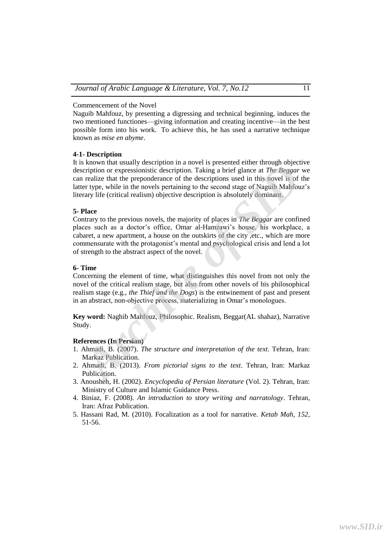Naguib Mahfouz, by presenting a digressing and technical beginning, induces the two mentioned functiones—giving information and creating incentive—in the best possible form into his work. To achieve this, he has used a narrative technique known as *mise en abyme*.

#### **4-1- Description**

It is known that usually description in a novel is presented either through objective description or expressionistic description. Taking a brief glance at *The Beggar* we can realize that the preponderance of the descriptions used in this novel is of the latter type, while in the novels pertaining to the second stage of Naguib Mahfouz's literary life (critical realism) objective description is absolutely dominant.

#### **5- Place**

Contrary to the previous novels, the majority of places in *The Beggar* are confined places such as a doctor's office, Omar al-Hamzawi's house, his workplace, a cabaret, a new apartment, a house on the outskirts of the city ,etc., which are more commensurate with the protagonist's mental and psychological crisis and lend a lot of strength to the abstract aspect of the novel. *Archima dia Salary description in diverting a brief and the Beggar weight of the system and the prepondence of the description State and The Beggar we realize that the preponderance of the descriptions used in this novel* 

## **6- Time**

Concerning the element of time, what distinguishes this novel from not only the novel of the critical realism stage, but also from other novels of his philosophical realism stage (e.g., *the Thief and the Dogs*) is the entwinement of past and present in an abstract, non-objective process, materializing in Omar's monologues.

**Key word:** Naghib Mahfouz, Philosophic. Realism, Beggar(AL shahaz), Narrative Study.

## **References (In Persian)**

- 1. Ahmadi, B. (2007). *The structure and interpretation of the text*. Tehran, Iran: Markaz Publication.
- 2. Ahmadi, B. (2013). *From pictorial signs to the text*. Tehran, Iran: Markaz Publication.
- 3. Anousheh, H. (2002). *Encyclopedia of Persian literature* (Vol. 2). Tehran, Iran: Ministry of Culture and Islamic Guidance Press.
- 4. Biniaz, F. (2008). *An introduction to story writing and narratology*. Tehran, Iran: Afraz Publication.
- 5. Hassani Rad, M. (2010). Focalization as a tool for narrative. *Ketab Mah, 152*, 51-56.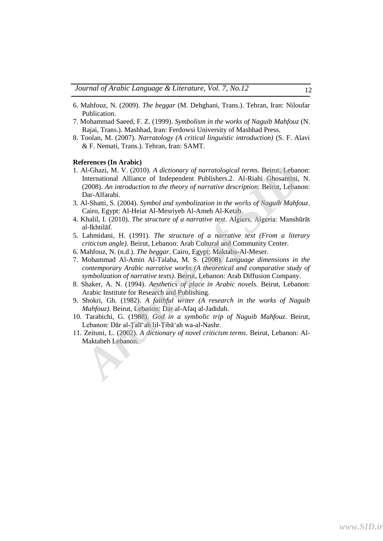- 6. Mahfouz, N. (2009). *The beggar* (M. Dehghani, Trans.). Tehran, Iran: Niloufar Publication.
- 7. Mohammad Saeed, F. Z. (1999). *Symbolism in the works of Naguib Mahfouz* (N. Rajai, Trans.). Mashhad, Iran: Ferdowsi University of Mashhad Press.
- 8. Toolan, M. (2007). *Narratology (A critical linguistic introduction)* (S. F. Alavi & F. Nemati, Trans.). Tehran, Iran: SAMT.

#### **References (In Arabic)**

- 1. Al-Ghazi, M. V. (2010). *A dictionary of narratological terms*. Beirut, Lebanon: International Alliance of Independent Publishers.2. Al-Riahi Ghosantini, N. (2008). *An introduction to the theory of narrative description*. Beirut, Lebanon: Dar-Alfarabi. **Archives Can Arabistabel Archive of** *Archive of narratological terms***. Beirut, Lebanon: International Alliance of Independent Publishers.2. Al-Riahi Ghosantini, N. (2008). An introduction to the theory of narrative descri**
- 3. Al-Shatti, S. (2004). *Symbol and symbolization in the works of Naguib Mahfouz*. Cairo, Egypt: Al-Heiat Al-Mesriyeh Al-Ameh Al-Ketab.
- 4. Khalil, I. (2010). *The structure of a narrative text*. Algiers, Algeria: Manshūrāt al-Ikhtilāf.
- 5. Lahmidani, H. (1991). *The structure of a narrative text (From a literary criticism angle)*. Beirut, Lebanon: Arab Cultural and Community Center.
- 6. Mahfouz, N. (n.d.). *The beggar*. Cairo, Egypt: Maktaba-Al-Meser.
- 7. Mohammad Al-Amin Al-Talaba, M. S. (2008). *Language dimensions in the contemporary Arabic narrative works (A theoretical and comparative study of symbolization of narrative texts)*. Beirut, Lebanon: Arab Diffusion Company.
- 8. Shaker, A. N. (1994). *Aesthetics of place in Arabic novels*. Beirut, Lebanon: Arabic Institute for Research and Publishing.
- 9. Shokri, Gh. (1982). *A faithful writer (A research in the works of Naguib Mahfouz)*. Beirut, Lebanon: Dar al-Afaq al-Jadidah.
- 10. Tarabichi, G. (1988). *God in a symbolic trip of Naguib Mahfouz*. Beirut, Lebanon: Dār al-Ṭalīʻah lil-Ṭibāʻah wa-al-Nashr.
- 11. Zeituni, L. (2002). *A dictionary of novel criticism terms*. Beirut, Lebanon: Al-